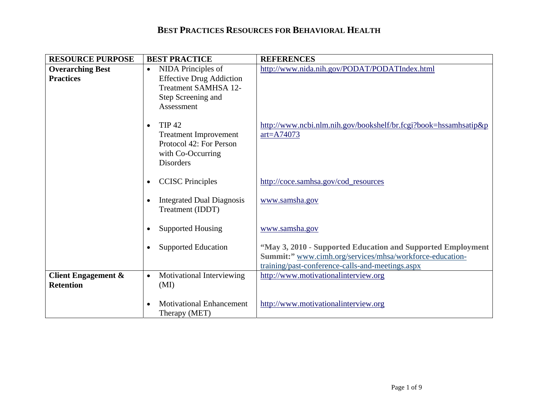| <b>RESOURCE PURPOSE</b>                            | <b>BEST PRACTICE</b>                                                                                                           | <b>REFERENCES</b>                                                                                                                                                           |
|----------------------------------------------------|--------------------------------------------------------------------------------------------------------------------------------|-----------------------------------------------------------------------------------------------------------------------------------------------------------------------------|
| <b>Overarching Best</b><br><b>Practices</b>        | NIDA Principles of<br>$\bullet$<br><b>Effective Drug Addiction</b><br>Treatment SAMHSA 12-<br>Step Screening and<br>Assessment | http://www.nida.nih.gov/PODAT/PODATIndex.html                                                                                                                               |
|                                                    | <b>TIP 42</b><br>$\bullet$<br><b>Treatment Improvement</b><br>Protocol 42: For Person<br>with Co-Occurring<br><b>Disorders</b> | http://www.ncbi.nlm.nih.gov/bookshelf/br.fcgi?book=hssamhsatip&p<br>$art = A74073$                                                                                          |
|                                                    | <b>CCISC</b> Principles<br>$\bullet$                                                                                           | http://coce.samhsa.gov/cod_resources                                                                                                                                        |
|                                                    | <b>Integrated Dual Diagnosis</b><br>Treatment (IDDT)                                                                           | www.samsha.gov                                                                                                                                                              |
|                                                    | <b>Supported Housing</b><br>$\bullet$                                                                                          | www.samsha.gov                                                                                                                                                              |
|                                                    | <b>Supported Education</b>                                                                                                     | "May 3, 2010 - Supported Education and Supported Employment<br>Summit:" www.cimh.org/services/mhsa/workforce-education-<br>training/past-conference-calls-and-meetings.aspx |
| <b>Client Engagement &amp;</b><br><b>Retention</b> | Motivational Interviewing<br>$\bullet$<br>(MI)                                                                                 | http://www.motivationalinterview.org                                                                                                                                        |
|                                                    | <b>Motivational Enhancement</b><br>Therapy (MET)                                                                               | http://www.motivationalinterview.org                                                                                                                                        |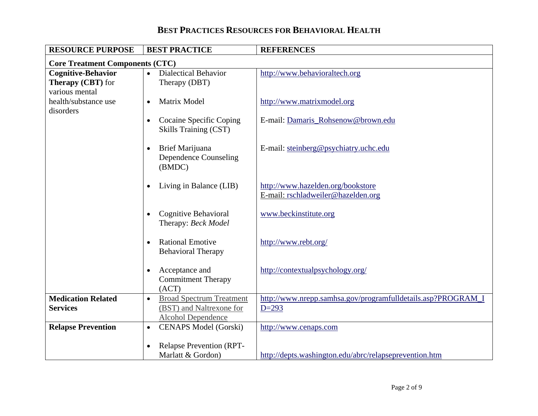| <b>RESOURCE PURPOSE</b>                | <b>BEST PRACTICE</b>                         | <b>REFERENCES</b>                                            |
|----------------------------------------|----------------------------------------------|--------------------------------------------------------------|
| <b>Core Treatment Components (CTC)</b> |                                              |                                                              |
| <b>Cognitive-Behavior</b>              | <b>Dialectical Behavior</b><br>$\bullet$     | http://www.behavioraltech.org                                |
| <b>Therapy (CBT)</b> for               | Therapy (DBT)                                |                                                              |
| various mental                         |                                              |                                                              |
| health/substance use                   | <b>Matrix Model</b><br>$\bullet$             | http://www.matrixmodel.org                                   |
| disorders                              |                                              |                                                              |
|                                        | Cocaine Specific Coping<br>$\bullet$         | E-mail: Damaris_Rohsenow@brown.edu                           |
|                                        | <b>Skills Training (CST)</b>                 |                                                              |
|                                        |                                              |                                                              |
|                                        | Brief Marijuana<br>$\bullet$                 | E-mail: steinberg@psychiatry.uchc.edu                        |
|                                        | <b>Dependence Counseling</b>                 |                                                              |
|                                        | (BMDC)                                       |                                                              |
|                                        | Living in Balance (LIB)                      | http://www.hazelden.org/bookstore                            |
|                                        |                                              | E-mail: rschladweiler@hazelden.org                           |
|                                        |                                              |                                                              |
|                                        | Cognitive Behavioral                         | www.beckinstitute.org                                        |
|                                        | Therapy: Beck Model                          |                                                              |
|                                        |                                              |                                                              |
|                                        | <b>Rational Emotive</b><br>$\bullet$         | http://www.rebt.org/                                         |
|                                        | <b>Behavioral Therapy</b>                    |                                                              |
|                                        |                                              |                                                              |
|                                        | Acceptance and<br>$\bullet$                  | http://contextualpsychology.org/                             |
|                                        | <b>Commitment Therapy</b>                    |                                                              |
|                                        | (ACT)                                        |                                                              |
| <b>Medication Related</b>              | <b>Broad Spectrum Treatment</b><br>$\bullet$ | http://www.nrepp.samhsa.gov/programfulldetails.asp?PROGRAM_I |
| <b>Services</b>                        | (BST) and Naltrexone for                     | $D=293$                                                      |
|                                        | <b>Alcohol Dependence</b>                    |                                                              |
| <b>Relapse Prevention</b>              | <b>CENAPS Model (Gorski)</b><br>$\bullet$    | http://www.cenaps.com                                        |
|                                        |                                              |                                                              |
|                                        | <b>Relapse Prevention (RPT-</b>              |                                                              |
|                                        | Marlatt & Gordon)                            | http://depts.washington.edu/abrc/relapseprevention.htm       |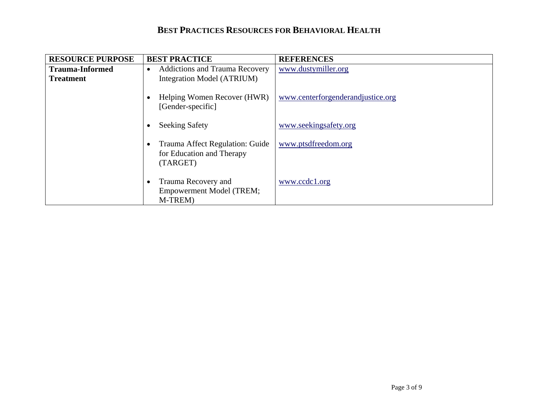| <b>RESOURCE PURPOSE</b> | <b>BEST PRACTICE</b>                                                           | <b>REFERENCES</b>                 |
|-------------------------|--------------------------------------------------------------------------------|-----------------------------------|
| <b>Trauma-Informed</b>  | <b>Addictions and Trauma Recovery</b><br>$\bullet$                             | www.dustymiller.org               |
| <b>Treatment</b>        | Integration Model (ATRIUM)                                                     |                                   |
|                         | Helping Women Recover (HWR)<br>[Gender-specific]                               | www.centerforgenderandjustice.org |
|                         | <b>Seeking Safety</b>                                                          | www.seekingsafety.org             |
|                         | Trauma Affect Regulation: Guide<br>for Education and Therapy<br>(TARGET)       | www.ptsdfreedom.org               |
|                         | Trauma Recovery and<br>$\bullet$<br><b>Empowerment Model (TREM;</b><br>M-TREM) | www.ccdc1.org                     |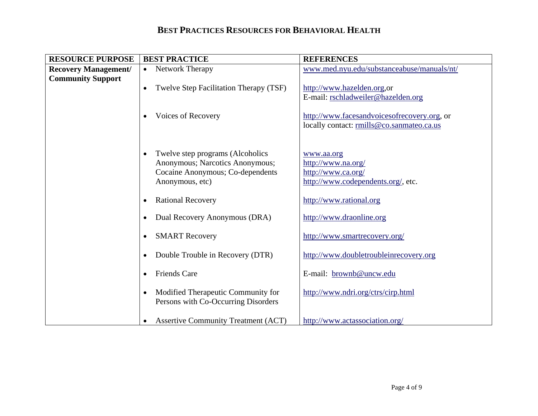| <b>RESOURCE PURPOSE</b>     | <b>BEST PRACTICE</b>                                | <b>REFERENCES</b>                           |
|-----------------------------|-----------------------------------------------------|---------------------------------------------|
| <b>Recovery Management/</b> | Network Therapy<br>$\bullet$                        | www.med.nyu.edu/substanceabuse/manuals/nt/  |
| <b>Community Support</b>    |                                                     |                                             |
|                             | Twelve Step Facilitation Therapy (TSF)<br>$\bullet$ | http://www.hazelden.org.or                  |
|                             |                                                     | E-mail: rschladweiler@hazelden.org          |
|                             |                                                     |                                             |
|                             | <b>Voices of Recovery</b><br>$\bullet$              | http://www.facesandvoicesofrecovery.org, or |
|                             |                                                     | locally contact: rmills@co.sanmateo.ca.us   |
|                             |                                                     |                                             |
|                             |                                                     |                                             |
|                             | Twelve step programs (Alcoholics<br>$\bullet$       | www.aa.org                                  |
|                             | Anonymous; Narcotics Anonymous;                     | http://www.na.org/                          |
|                             | Cocaine Anonymous; Co-dependents                    | http://www.ca.org/                          |
|                             | Anonymous, etc)                                     | http://www.codependents.org/, etc.          |
|                             |                                                     |                                             |
|                             | <b>Rational Recovery</b><br>$\bullet$               | http://www.rational.org                     |
|                             | Dual Recovery Anonymous (DRA)<br>$\bullet$          | http://www.draonline.org                    |
|                             |                                                     |                                             |
|                             | <b>SMART Recovery</b><br>$\bullet$                  | http://www.smartrecovery.org/               |
|                             |                                                     |                                             |
|                             | Double Trouble in Recovery (DTR)<br>$\bullet$       | http://www.doubletroubleinrecovery.org      |
|                             |                                                     |                                             |
|                             | <b>Friends Care</b><br>$\bullet$                    | E-mail: brownb@uncw.edu                     |
|                             |                                                     |                                             |
|                             | Modified Therapeutic Community for<br>$\bullet$     | http://www.ndri.org/ctrs/cirp.html          |
|                             | Persons with Co-Occurring Disorders                 |                                             |
|                             |                                                     |                                             |
|                             | <b>Assertive Community Treatment (ACT)</b>          | http://www.actassociation.org/              |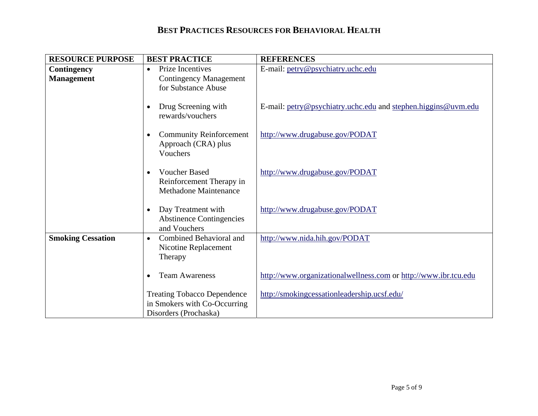| <b>RESOURCE PURPOSE</b>          | <b>BEST PRACTICE</b>                                                                        | <b>REFERENCES</b>                                               |
|----------------------------------|---------------------------------------------------------------------------------------------|-----------------------------------------------------------------|
| Contingency<br><b>Management</b> | Prize Incentives<br>$\bullet$<br><b>Contingency Management</b><br>for Substance Abuse       | E-mail: petry@psychiatry.uchc.edu                               |
|                                  | Drug Screening with<br>rewards/vouchers                                                     | E-mail: petry@psychiatry.uchc.edu and stephen.higgins@uvm.edu   |
|                                  | <b>Community Reinforcement</b><br>$\bullet$<br>Approach (CRA) plus<br>Vouchers              | http://www.drugabuse.gov/PODAT                                  |
|                                  | <b>Voucher Based</b><br>Reinforcement Therapy in<br><b>Methadone Maintenance</b>            | http://www.drugabuse.gov/PODAT                                  |
|                                  | Day Treatment with<br>$\bullet$<br><b>Abstinence Contingencies</b><br>and Vouchers          | http://www.drugabuse.gov/PODAT                                  |
| <b>Smoking Cessation</b>         | Combined Behavioral and<br>$\bullet$<br>Nicotine Replacement<br>Therapy                     | http://www.nida.hih.gov/PODAT                                   |
|                                  | <b>Team Awareness</b>                                                                       | http://www.organizationalwellness.com or http://www.ibr.tcu.edu |
|                                  | <b>Treating Tobacco Dependence</b><br>in Smokers with Co-Occurring<br>Disorders (Prochaska) | http://smokingcessationleadership.ucsf.edu/                     |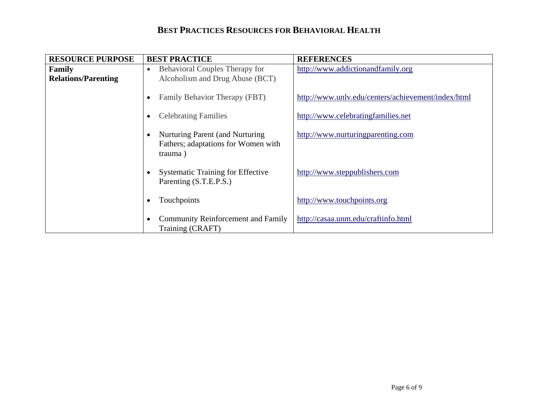| <b>RESOURCE PURPOSE</b>    | <b>BEST PRACTICE</b>                                                              | <b>REFERENCES</b>                                  |
|----------------------------|-----------------------------------------------------------------------------------|----------------------------------------------------|
| Family                     | <b>Behavioral Couples Therapy for</b><br>$\bullet$                                | http://www.addictionandfamily.org                  |
| <b>Relations/Parenting</b> | Alcoholism and Drug Abuse (BCT)                                                   |                                                    |
|                            | Family Behavior Therapy (FBT)                                                     | http://www.unlv.edu/centers/achievement/index/html |
|                            | <b>Celebrating Families</b>                                                       | http://www.celebratingfamilies.net                 |
|                            | Nurturing Parent (and Nurturing<br>Fathers; adaptations for Women with<br>trauma) | http://www.nurturingparenting.com                  |
|                            | <b>Systematic Training for Effective</b><br>Parenting (S.T.E.P.S.)                | http://www.steppublishers.com                      |
|                            | Touchpoints                                                                       | http://www.touchpoints.org                         |
|                            | <b>Community Reinforcement and Family</b><br>Training (CRAFT)                     | http://casaa.unm.edu/craftinfo.html                |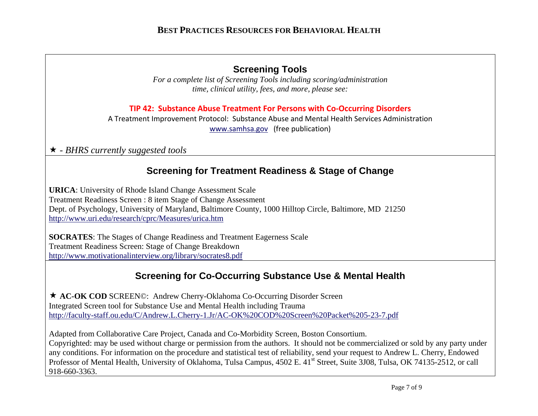## **Screening Tools**

*For a complete list of Screening Tools including scoring/administration time, clinical utility, fees, and more, please see:* 

**TIP 42: Substance Abuse Treatment For Persons with Co‐Occurring Disorders**

A Treatment Improvement Protocol: Substance Abuse and Mental Health Services Administration www.samhsa.gov (free publication)

- *BHRS currently suggested tools*

# **Screening for Treatment Readiness & Stage of Change**

**URICA**: University of Rhode Island Change Assessment Scale Treatment Readiness Screen : 8 item Stage of Change Assessment Dept. of Psychology, University of Maryland, Baltimore County, 1000 Hilltop Circle, Baltimore, MD 21250 http://www.uri.edu/research/cprc/Measures/urica.htm

**SOCRATES**: The Stages of Change Readiness and Treatment Eagerness Scale Treatment Readiness Screen: Stage of Change Breakdown http://www.motivationalinterview.org/library/socrates8.pdf

# **Screening for Co-Occurring Substance Use & Mental Health**

★ AC-OK COD SCREEN©: Andrew Cherry-Oklahoma Co-Occurring Disorder Screen Integrated Screen tool for Substance Use and Mental Health including Trauma http://faculty-staff.ou.edu/C/Andrew.L.Cherry-1.Jr/AC-OK%20COD%20Screen%20Packet%205-23-7.pdf

Adapted from Collaborative Care Project, Canada and Co-Morbidity Screen, Boston Consortium. Copyrighted: may be used without charge or permission from the authors. It should not be commercialized or sold by any party under any conditions. For information on the procedure and statistical test of reliability, send your request to Andrew L. Cherry, Endowed Professor of Mental Health, University of Oklahoma, Tulsa Campus, 4502 E. 41<sup>st</sup> Street, Suite 3J08, Tulsa, OK 74135-2512, or call 918-660-3363.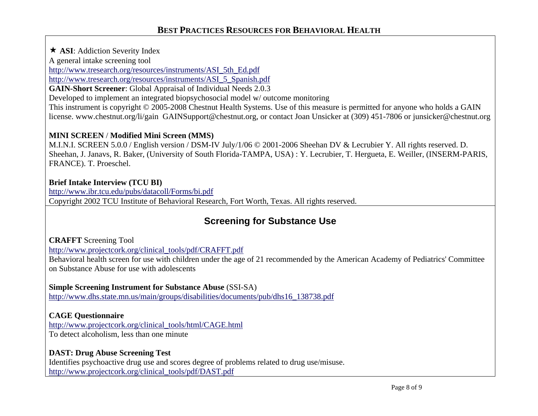**★ ASI:** Addiction Severity Index

A general intake screening tool

http://www.tresearch.org/resources/instruments/ASI\_5th\_Ed.pdf

http://www.tresearch.org/resources/instruments/ASI\_5\_Spanish.pdf

**GAIN-Short Screener**: Global Appraisal of Individual Needs 2.0.3

Developed to implement an integrated biopsychosocial model w/ outcome monitoring

This instrument is copyright © 2005-2008 Chestnut Health Systems. Use of this measure is permitted for anyone who holds a GAIN license. www.chestnut.org/li/gain GAINSupport@chestnut.org, or contact Joan Unsicker at (309) 451-7806 or junsicker@chestnut.org

### **MINI SCREEN** / **Modified Mini Screen (MMS)**

M.I.N.I. SCREEN 5.0.0 / English version / DSM-IV July/1/06 © 2001-2006 Sheehan DV & Lecrubier Y. All rights reserved. D. Sheehan, J. Janavs, R. Baker, (University of South Florida-TAMPA, USA) : Y. Lecrubier, T. Hergueta, E. Weiller, (INSERM-PARIS, FRANCE). T. Proeschel.

### **Brief Intake Interview (TCU BI)**

http://www.ibr.tcu.edu/pubs/datacoll/Forms/bi.pdf Copyright 2002 TCU Institute of Behavioral Research, Fort Worth, Texas. All rights reserved.

# **Screening for Substance Use**

**CRAFFT** Screening Tool

http://www.projectcork.org/clinical\_tools/pdf/CRAFFT.pdf

Behavioral health screen for use with children under the age of 21 recommended by the American Academy of Pediatrics' Committee on Substance Abuse for use with adolescents

### **Simple Screening Instrument for Substance Abuse** (SSI-SA)

http://www.dhs.state.mn.us/main/groups/disabilities/documents/pub/dhs16\_138738.pdf

### **CAGE Questionnaire**

http://www.projectcork.org/clinical\_tools/html/CAGE.html To detect alcoholism, less than one minute

### **DAST: Drug Abuse Screening Test**

Identifies psychoactive drug use and scores degree of problems related to drug use/misuse. http://www.projectcork.org/clinical\_tools/pdf/DAST.pdf